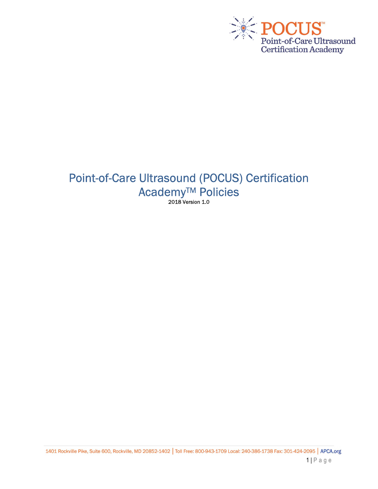

# Point-of-Care Ultrasound (POCUS) Certification Academy<sup>™</sup> Policies 2018 Version 1.0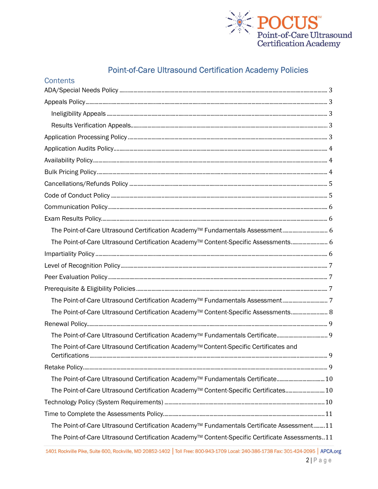

# **Point-of-Care Ultrasound Certification Academy Policies**

| Contents                                                                                                     |
|--------------------------------------------------------------------------------------------------------------|
|                                                                                                              |
|                                                                                                              |
|                                                                                                              |
|                                                                                                              |
|                                                                                                              |
|                                                                                                              |
|                                                                                                              |
|                                                                                                              |
|                                                                                                              |
|                                                                                                              |
|                                                                                                              |
|                                                                                                              |
| The Point-of-Care Ultrasound Certification Academy <sup>™</sup> Fundamentals Assessment 6                    |
| The Point-of-Care Ultrasound Certification Academy™ Content-Specific Assessments 6                           |
|                                                                                                              |
|                                                                                                              |
|                                                                                                              |
|                                                                                                              |
| The Point-of-Care Ultrasound Certification Academy™ Fundamentals Assessment7                                 |
| The Point-of-Care Ultrasound Certification Academy™ Content-Specific Assessments 8                           |
|                                                                                                              |
| The Point-of-Care Ultrasound Certification Academy <sup>™</sup> Fundamentals Certificate 9                   |
| The Point-of-Care Ultrasound Certification Academy™ Content-Specific Certificates and<br>9<br>Certifications |
|                                                                                                              |
| The Point-of-Care Ultrasound Certification Academy <sup>™</sup> Fundamentals Certificate10                   |
| The Point-of-Care Ultrasound Certification Academy <sup>™</sup> Content-Specific Certificates 10             |
|                                                                                                              |
|                                                                                                              |
| The Point-of-Care Ultrasound Certification Academy <sup>™</sup> Fundamentals Certificate Assessment11        |
| The Point-of-Care Ultrasound Certification Academy <sup>™</sup> Content-Specific Certificate Assessments11   |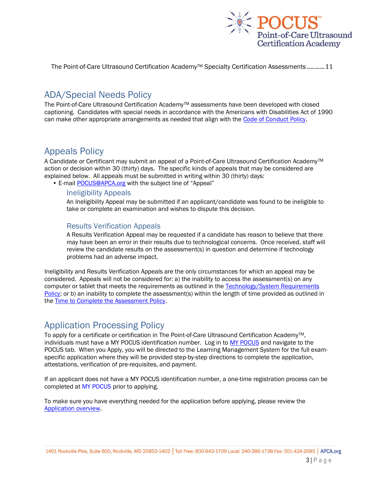

The Point-of-Care Ultrasound Certification AcademyTM Specialty Certification Assessments ............. 11

## ADA/Special Needs Policy

The Point-of-Care Ultrasound Certification Academy™ assessments have been developed with closed captioning. Candidates with special needs in accordance with the Americans with Disabilities Act of 1990 can make other appropriate arrangements as needed that align with the Code of Conduct Policy.

## Appeals Policy

A Candidate or Certificant may submit an appeal of a Point-of-Care Ultrasound Certification Academy™ action or decision within 30 (thirty) days. The specific kinds of appeals that may be considered are explained below. All appeals must be submitted in writing within 30 (thirty) days:

• E-mail POCUS@APCA.org with the subject line of "Appeal"

#### Ineligibility Appeals

An Ineligibility Appeal may be submitted if an applicant/candidate was found to be ineligible to take or complete an examination and wishes to dispute this decision.

#### Results Verification Appeals

A Results Verification Appeal may be requested if a candidate has reason to believe that there may have been an error in their results due to technological concerns. Once received, staff will review the candidate results on the assessment(s) in question and determine if technology problems had an adverse impact.

Ineligibility and Results Verification Appeals are the only circumstances for which an appeal may be considered. Appeals will not be considered for: a) the inability to access the assessment(s) on any computer or tablet that meets the requirements as outlined in the Technology/System Requirements Policy; or b) an inability to complete the assessment(s) within the length of time provided as outlined in the Time to Complete the Assessment Policy.

### Application Processing Policy

To apply for a certificate or certification in The Point-of-Care Ultrasound Certification Academy™. individuals must have a MY POCUS identification number. Log in to MY POCUS and navigate to the POCUS tab. When you Apply, you will be directed to the Learning Management System for the full examspecific application where they will be provided step-by-step directions to complete the application, attestations, verification of pre-requisites, and payment.

If an applicant does not have a MY POCUS identification number, a one-time registration process can be completed at MY POCUS prior to applying.

To make sure you have everything needed for the application before applying, please review the Application overview.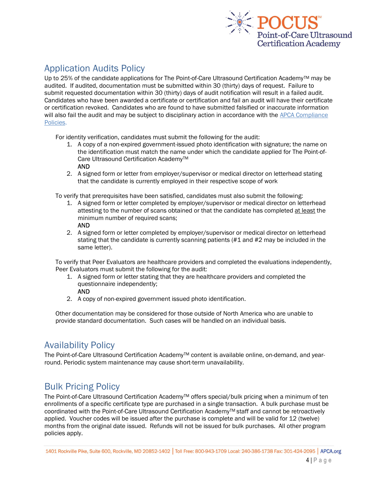

# Application Audits Policy

Up to 25% of the candidate applications for The Point-of-Care Ultrasound Certification Academy™ may be audited. If audited, documentation must be submitted within 30 (thirty) days of request. Failure to submit requested documentation within 30 (thirty) days of audit notification will result in a failed audit. Candidates who have been awarded a certificate or certification and fail an audit will have their certificate or certification revoked. Candidates who are found to have submitted falsified or inaccurate information will also fail the audit and may be subject to disciplinary action in accordance with the APCA Compliance Policies.

For identity verification, candidates must submit the following for the audit:

- 1. A copy of a non-expired government-issued photo identification with signature; the name on the identification must match the name under which the candidate applied for The Point-of-Care Ultrasound Certification Academy<sup>™</sup> AND
- 2. A signed form or letter from employer/supervisor or medical director on letterhead stating that the candidate is currently employed in their respective scope of work

To verify that prerequisites have been satisfied, candidates must also submit the following:

- 1. A signed form or letter completed by employer/supervisor or medical director on letterhead attesting to the number of scans obtained or that the candidate has completed at least the minimum number of required scans;
	- AND
- 2. A signed form or letter completed by employer/supervisor or medical director on letterhead stating that the candidate is currently scanning patients (#1 and #2 may be included in the same letter).

To verify that Peer Evaluators are healthcare providers and completed the evaluations independently, Peer Evaluators must submit the following for the audit:

- 1. A signed form or letter stating that they are healthcare providers and completed the questionnaire independently;
	- AND
- 2. A copy of non-expired government issued photo identification.

Other documentation may be considered for those outside of North America who are unable to provide standard documentation. Such cases will be handled on an individual basis.

## Availability Policy

The Point-of-Care Ultrasound Certification Academy™ content is available online, on-demand, and yearround. Periodic system maintenance may cause short-term unavailability.

## Bulk Pricing Policy

The Point-of-Care Ultrasound Certification Academy™ offers special/bulk pricing when a minimum of ten enrollments of a specific certificate type are purchased in a single transaction. A bulk purchase must be coordinated with the Point-of-Care Ultrasound Certification AcademyTM staff and cannot be retroactively applied. Voucher codes will be issued after the purchase is complete and will be valid for 12 (twelve) months from the original date issued. Refunds will not be issued for bulk purchases. All other program policies apply.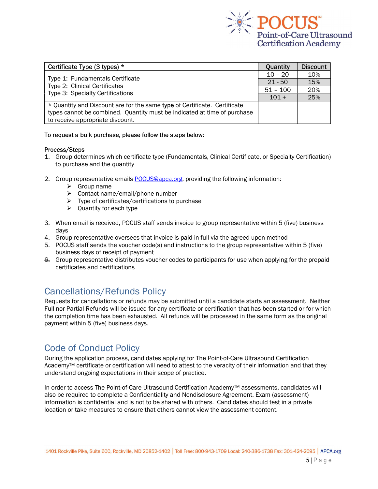

| Certificate Type (3 types) *                                                                          | Quantity   | <b>Discount</b> |
|-------------------------------------------------------------------------------------------------------|------------|-----------------|
| Type 1: Fundamentals Certificate<br>Type 2: Clinical Certificates<br>Type 3: Specialty Certifications | $10 - 20$  | 10%             |
|                                                                                                       | $21 - 50$  | 15%             |
|                                                                                                       | $51 - 100$ | 20%             |
|                                                                                                       |            | 25%             |
| * Quantity and Discount are for the same type of Certificate. Certificate                             |            |                 |
| types cannot be combined. Quantity must be indicated at time of purchase                              |            |                 |
| to receive appropriate discount.                                                                      |            |                 |

#### To request a bulk purchase, please follow the steps below:

#### Process/Steps

- 1. Group determines which certificate type (Fundamentals, Clinical Certificate, or Specialty Certification) to purchase and the quantity
- 2. Group representative emails POCUS@apca.org, providing the following information:
	- $\triangleright$  Group name
	- $\triangleright$  Contact name/email/phone number
	- $\triangleright$  Type of certificates/certifications to purchase
	- $\triangleright$  Quantity for each type
- 3. When email is received, POCUS staff sends invoice to group representative within 5 (five) business days
- 4. Group representative oversees that invoice is paid in full via the agreed upon method
- 5. POCUS staff sends the voucher code(s) and instructions to the group representative within 5 (five) business days of receipt of payment
- 6. Group representative distributes voucher codes to participants for use when applying for the prepaid certificates and certifications

## Cancellations/Refunds Policy

Requests for cancellations or refunds may be submitted until a candidate starts an assessment. Neither Full nor Partial Refunds will be issued for any certificate or certification that has been started or for which the completion time has been exhausted. All refunds will be processed in the same form as the original payment within 5 (five) business days.

### Code of Conduct Policy

During the application process, candidates applying for The Point-of-Care Ultrasound Certification Academy<sup>™</sup> certificate or certification will need to attest to the veracity of their information and that they understand ongoing expectations in their scope of practice.

In order to access The Point-of-Care Ultrasound Certification Academy™ assessments, candidates will also be required to complete a Confidentiality and Nondisclosure Agreement. Exam (assessment) information is confidential and is not to be shared with others. Candidates should test in a private location or take measures to ensure that others cannot view the assessment content.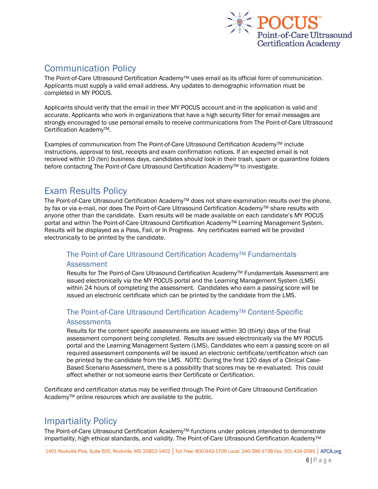

# Communication Policy

The Point-of-Care Ultrasound Certification Academy<sup>™</sup> uses email as its official form of communication. Applicants must supply a valid email address. Any updates to demographic information must be completed in MY POCUS.

Applicants should verify that the email in their MY POCUS account and in the application is valid and accurate. Applicants who work in organizations that have a high security filter for email messages are strongly encouraged to use personal emails to receive communications from The Point-of-Care Ultrasound Certification AcademyTM.

Examples of communication from The Point-of-Care Ultrasound Certification Academy™ include instructions, approval to test, receipts and exam confirmation notices. If an expected email is not received within 10 (ten) business days, candidates should look in their trash, spam or quarantine folders before contacting The Point-of-Care Ultrasound Certification Academy™ to investigate.

## Exam Results Policy

The Point-of-Care Ultrasound Certification Academy™ does not share examination results over the phone, by fax or via e-mail, nor does The Point-of-Care Ultrasound Certification Academy™ share results with anyone other than the candidate. Exam results will be made available on each candidate's MY POCUS portal and within The Point-of-Care Ultrasound Certification Academy™ Learning Management System. Results will be displayed as a Pass, Fail, or In Progress. Any certificates earned will be provided electronically to be printed by the candidate.

### The Point-of-Care Ultrasound Certification Academy™ Fundamentals Assessment

Results for The Point-of-Care Ultrasound Certification Academy™ Fundamentals Assessment are issued electronically via the MY POCUS portal and the Learning Management System (LMS) within 24 hours of completing the assessment. Candidates who earn a passing score will be issued an electronic certificate which can be printed by the candidate from the LMS.

### The Point-of-Care Ultrasound Certification Academy™ Content-Specific **Assessments**

Results for the content specific assessments are issued within 30 (thirty) days of the final assessment component being completed. Results are issued electronically via the MY POCUS portal and the Learning Management System (LMS). Candidates who earn a passing score on all required assessment components will be issued an electronic certificate/certification which can be printed by the candidate from the LMS. NOTE: During the first 120 days of a Clinical Case-Based Scenario Assessment, there is a possibility that scores may be re-evaluated. This could affect whether or not someone earns their Certificate or Certification.

Certificate and certification status may be verified through The Point-of-Care Ultrasound Certification Academy™ online resources which are available to the public.

# Impartiality Policy

The Point-of-Care Ultrasound Certification Academy™ functions under policies intended to demonstrate impartiality, high ethical standards, and validity. The Point-of-Care Ultrasound Certification AcademyTM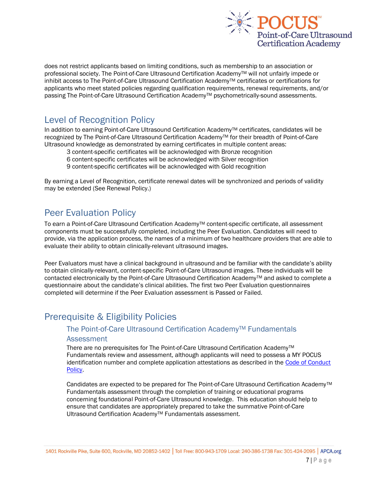

does not restrict applicants based on limiting conditions, such as membership to an association or professional society. The Point-of-Care Ultrasound Certification Academy™ will not unfairly impede or inhibit access to The Point-of-Care Ultrasound Certification Academy™ certificates or certifications for applicants who meet stated policies regarding qualification requirements, renewal requirements, and/or passing The Point-of-Care Ultrasound Certification Academy™ psychometrically-sound assessments.

### Level of Recognition Policy

In addition to earning Point-of-Care Ultrasound Certification Academy™ certificates, candidates will be recognized by The Point-of-Care Ultrasound Certification AcademyTM for their breadth of Point-of-Care Ultrasound knowledge as demonstrated by earning certificates in multiple content areas:

3 content-specific certificates will be acknowledged with Bronze recognition

6 content-specific certificates will be acknowledged with Silver recognition

9 content-specific certificates will be acknowledged with Gold recognition

By earning a Level of Recognition, certificate renewal dates will be synchronized and periods of validity may be extended (See Renewal Policy.)

### Peer Evaluation Policy

To earn a Point-of-Care Ultrasound Certification Academy™ content-specific certificate, all assessment components must be successfully completed, including the Peer Evaluation. Candidates will need to provide, via the application process, the names of a minimum of two healthcare providers that are able to evaluate their ability to obtain clinically-relevant ultrasound images.

Peer Evaluators must have a clinical background in ultrasound and be familiar with the candidate's ability to obtain clinically-relevant, content-specific Point-of-Care Ultrasound images. These individuals will be contacted electronically by the Point-of-Care Ultrasound Certification Academy™ and asked to complete a questionnaire about the candidate's clinical abilities. The first two Peer Evaluation questionnaires completed will determine if the Peer Evaluation assessment is Passed or Failed.

## Prerequisite & Eligibility Policies

### The Point-of-Care Ultrasound Certification Academy™ Fundamentals Assessment

There are no prerequisites for The Point-of-Care Ultrasound Certification Academy™ Fundamentals review and assessment, although applicants will need to possess a MY POCUS identification number and complete application attestations as described in the Code of Conduct Policy.

Candidates are expected to be prepared for The Point-of-Care Ultrasound Certification Academy™ Fundamentals assessment through the completion of training or educational programs concerning foundational Point-of-Care Ultrasound knowledge. This education should help to ensure that candidates are appropriately prepared to take the summative Point-of-Care Ultrasound Certification Academy<sup>™</sup> Fundamentals assessment.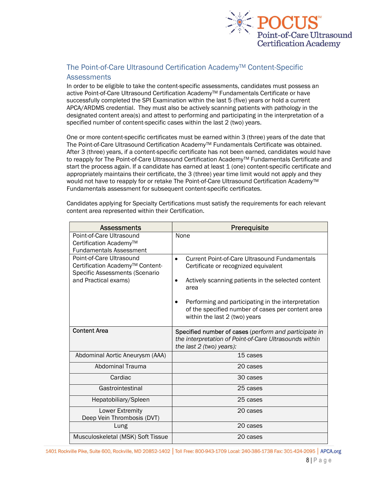

#### The Point-of-Care Ultrasound Certification Academy™ Content-Specific **Assessments**

In order to be eligible to take the content-specific assessments, candidates must possess an active Point-of-Care Ultrasound Certification AcademyTM Fundamentals Certificate or have successfully completed the SPI Examination within the last 5 (five) years or hold a current APCA/ARDMS credential. They must also be actively scanning patients with pathology in the designated content area(s) and attest to performing and participating in the interpretation of a specified number of content-specific cases within the last 2 (two) years.

One or more content-specific certificates must be earned within 3 (three) years of the date that The Point-of-Care Ultrasound Certification AcademyTM Fundamentals Certificate was obtained. After 3 (three) years, if a content-specific certificate has not been earned, candidates would have to reapply for The Point-of-Care Ultrasound Certification Academy™ Fundamentals Certificate and start the process again. If a candidate has earned at least 1 (one) content-specific certificate and appropriately maintains their certificate, the 3 (three) year time limit would not apply and they would not have to reapply for or retake The Point-of-Care Ultrasound Certification Academy<sup>™</sup> Fundamentals assessment for subsequent content-specific certificates.

Candidates applying for Specialty Certifications must satisfy the requirements for each relevant content area represented within their Certification.

| <b>Assessments</b>                                                                                                    | Prerequisite                                                                                                                                                                                                                                                                                                 |
|-----------------------------------------------------------------------------------------------------------------------|--------------------------------------------------------------------------------------------------------------------------------------------------------------------------------------------------------------------------------------------------------------------------------------------------------------|
| Point-of-Care Ultrasound<br>Certification Academy <sup>™</sup><br><b>Fundamentals Assessment</b>                      | None                                                                                                                                                                                                                                                                                                         |
| Point-of-Care Ultrasound<br>Certification Academy™ Content-<br>Specific Assessments (Scenario<br>and Practical exams) | Current Point-of-Care Ultrasound Fundamentals<br>$\bullet$<br>Certificate or recognized equivalent<br>Actively scanning patients in the selected content<br>area<br>Performing and participating in the interpretation<br>of the specified number of cases per content area<br>within the last 2 (two) years |
| <b>Content Area</b>                                                                                                   | Specified number of cases (perform and participate in<br>the interpretation of Point-of-Care Ultrasounds within<br>the last $2$ (two) years):                                                                                                                                                                |
| Abdominal Aortic Aneurysm (AAA)                                                                                       | 15 cases                                                                                                                                                                                                                                                                                                     |
| Abdominal Trauma                                                                                                      | 20 cases                                                                                                                                                                                                                                                                                                     |
| Cardiac                                                                                                               | 30 cases                                                                                                                                                                                                                                                                                                     |
| Gastrointestinal                                                                                                      | 25 cases                                                                                                                                                                                                                                                                                                     |
| Hepatobiliary/Spleen                                                                                                  | 25 cases                                                                                                                                                                                                                                                                                                     |
| Lower Extremity<br>Deep Vein Thrombosis (DVT)                                                                         | 20 cases                                                                                                                                                                                                                                                                                                     |
| Lung                                                                                                                  | 20 cases                                                                                                                                                                                                                                                                                                     |
| Musculoskeletal (MSK) Soft Tissue                                                                                     | 20 cases                                                                                                                                                                                                                                                                                                     |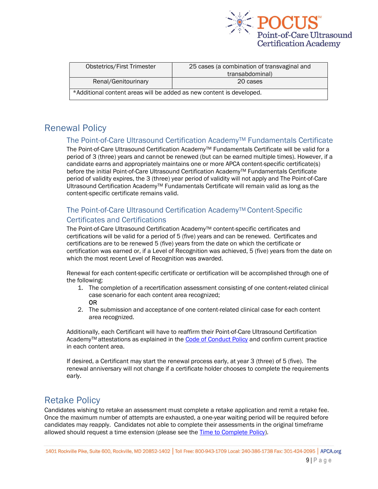

| <b>Obstetrics/First Trimester</b>                                    | 25 cases (a combination of transvaginal and |  |
|----------------------------------------------------------------------|---------------------------------------------|--|
|                                                                      | transabdominal)                             |  |
| Renal/Genitourinary                                                  | 20 cases                                    |  |
| *Additional content areas will be added as new content is developed. |                                             |  |

## Renewal Policy

#### The Point-of-Care Ultrasound Certification Academy™ Fundamentals Certificate

The Point-of-Care Ultrasound Certification Academy<sup>™</sup> Fundamentals Certificate will be valid for a period of 3 (three) years and cannot be renewed (but can be earned multiple times). However, if a candidate earns and appropriately maintains one or more APCA content-specific certificate(s) before the initial Point-of-Care Ultrasound Certification Academy™ Fundamentals Certificate period of validity expires, the 3 (three) year period of validity will not apply and The Point-of-Care Ultrasound Certification AcademyTM Fundamentals Certificate will remain valid as long as the content-specific certificate remains valid.

#### The Point-of-Care Ultrasound Certification Academy™ Content-Specific Certificates and Certifications

The Point-of-Care Ultrasound Certification Academy™ content-specific certificates and certifications will be valid for a period of 5 (five) years and can be renewed. Certificates and certifications are to be renewed 5 (five) years from the date on which the certificate or certification was earned or, if a Level of Recognition was achieved, 5 (five) years from the date on which the most recent Level of Recognition was awarded.

Renewal for each content-specific certificate or certification will be accomplished through one of the following:

- 1. The completion of a recertification assessment consisting of one content-related clinical case scenario for each content area recognized; OR
- 2. The submission and acceptance of one content-related clinical case for each content area recognized.

Additionally, each Certificant will have to reaffirm their Point-of-Care Ultrasound Certification Academy™ attestations as explained in the Code of Conduct Policy and confirm current practice in each content area.

If desired, a Certificant may start the renewal process early, at year 3 (three) of 5 (five). The renewal anniversary will not change if a certificate holder chooses to complete the requirements early.

# Retake Policy

Candidates wishing to retake an assessment must complete a retake application and remit a retake fee. Once the maximum number of attempts are exhausted, a one-year waiting period will be required before candidates may reapply. Candidates not able to complete their assessments in the original timeframe allowed should request a time extension (please see the Time to Complete Policy).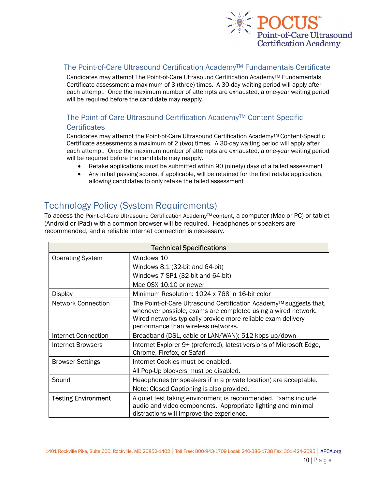

#### The Point-of-Care Ultrasound Certification Academy<sup>™</sup> Fundamentals Certificate

Candidates may attempt The Point-of-Care Ultrasound Certification Academy™ Fundamentals Certificate assessment a maximum of 3 (three) times. A 30-day waiting period will apply after each attempt. Once the maximum number of attempts are exhausted, a one-year waiting period will be required before the candidate may reapply.

#### The Point-of-Care Ultrasound Certification Academy™ Content-Specific **Certificates**

Candidates may attempt the Point-of-Care Ultrasound Certification Academy™ Content-Specific Certificate assessments a maximum of 2 (two) times. A 30-day waiting period will apply after each attempt. Once the maximum number of attempts are exhausted, a one-year waiting period will be required before the candidate may reapply.

- Retake applications must be submitted within 90 (ninety) days of a failed assessment
- Any initial passing scores, if applicable, will be retained for the first retake application, allowing candidates to only retake the failed assessment

# Technology Policy (System Requirements)

To access the Point-of-Care Ultrasound Certification Academy<sup>TM</sup> content, a computer (Mac or PC) or tablet (Android or iPad) with a common browser will be required. Headphones or speakers are recommended, and a reliable internet connection is necessary.

| <b>Technical Specifications</b> |                                                                                                                                                                                                                                            |  |
|---------------------------------|--------------------------------------------------------------------------------------------------------------------------------------------------------------------------------------------------------------------------------------------|--|
| <b>Operating System</b>         | Windows 10                                                                                                                                                                                                                                 |  |
|                                 | Windows 8.1 (32-bit and 64-bit)                                                                                                                                                                                                            |  |
|                                 | Windows 7 SP1 (32-bit and 64-bit)                                                                                                                                                                                                          |  |
|                                 | Mac OSX 10.10 or newer                                                                                                                                                                                                                     |  |
| Display                         | Minimum Resolution: 1024 x 768 in 16-bit color                                                                                                                                                                                             |  |
| <b>Network Connection</b>       | The Point-of-Care Ultrasound Certification Academy™ suggests that,<br>whenever possible, exams are completed using a wired network.<br>Wired networks typically provide more reliable exam delivery<br>performance than wireless networks. |  |
| Internet Connection             | Broadband (DSL, cable or LAN/WAN): 512 kbps up/down                                                                                                                                                                                        |  |
| Internet Browsers               | Internet Explorer 9+ (preferred), latest versions of Microsoft Edge,<br>Chrome, Firefox, or Safari                                                                                                                                         |  |
| <b>Browser Settings</b>         | Internet Cookies must be enabled.                                                                                                                                                                                                          |  |
|                                 | All Pop-Up blockers must be disabled.                                                                                                                                                                                                      |  |
| Sound                           | Headphones (or speakers if in a private location) are acceptable.                                                                                                                                                                          |  |
|                                 | Note: Closed Captioning is also provided.                                                                                                                                                                                                  |  |
| <b>Testing Environment</b>      | A quiet test taking environment is recommended. Exams include<br>audio and video components. Appropriate lighting and minimal<br>distractions will improve the experience.                                                                 |  |